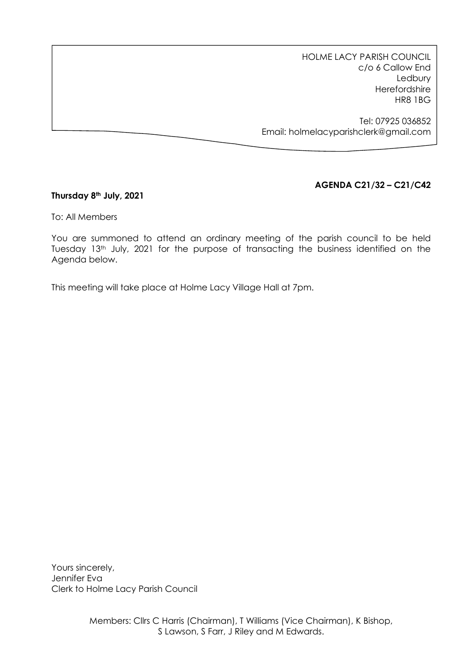HOLME LACY PARISH COUNCIL c/o 6 Callow End Ledbury Herefordshire HR8 1BG

Tel: 07925 036852 Email: holmelacyparishclerk@gmail.com

# **AGENDA C21/32 – C21/C42**

## **Thursday 8th July, 2021**

To: All Members

You are summoned to attend an ordinary meeting of the parish council to be held Tuesday 13<sup>th</sup> July, 2021 for the purpose of transacting the business identified on the Agenda below.

This meeting will take place at Holme Lacy Village Hall at 7pm.

Yours sincerely, Jennifer Eva Clerk to Holme Lacy Parish Council